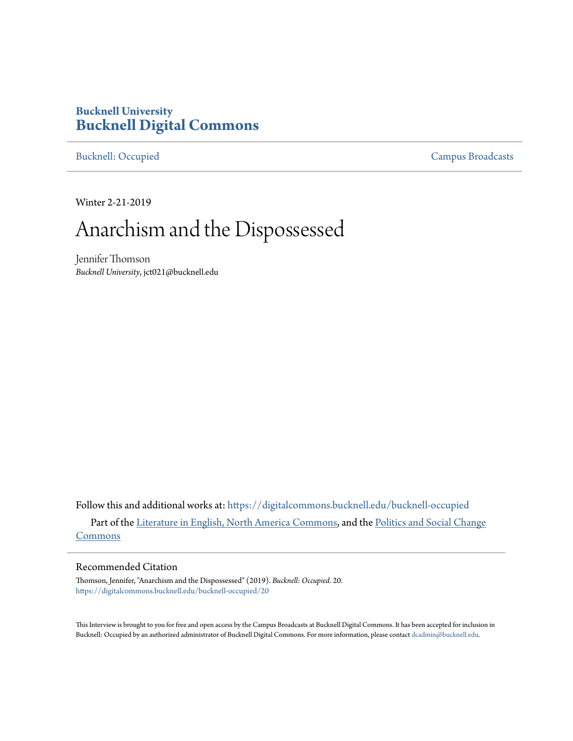## **Bucknell University [Bucknell Digital Commons](https://digitalcommons.bucknell.edu?utm_source=digitalcommons.bucknell.edu%2Fbucknell-occupied%2F20&utm_medium=PDF&utm_campaign=PDFCoverPages)**

[Bucknell: Occupied](https://digitalcommons.bucknell.edu/bucknell-occupied?utm_source=digitalcommons.bucknell.edu%2Fbucknell-occupied%2F20&utm_medium=PDF&utm_campaign=PDFCoverPages) [Campus Broadcasts](https://digitalcommons.bucknell.edu/campus-broadcasts?utm_source=digitalcommons.bucknell.edu%2Fbucknell-occupied%2F20&utm_medium=PDF&utm_campaign=PDFCoverPages)

Winter 2-21-2019

## Anarchism and the Dispossessed

Jennifer Thomson *Bucknell University*, jct021@bucknell.edu

Follow this and additional works at: [https://digitalcommons.bucknell.edu/bucknell-occupied](https://digitalcommons.bucknell.edu/bucknell-occupied?utm_source=digitalcommons.bucknell.edu%2Fbucknell-occupied%2F20&utm_medium=PDF&utm_campaign=PDFCoverPages) Part of the [Literature in English, North America Commons](http://network.bepress.com/hgg/discipline/458?utm_source=digitalcommons.bucknell.edu%2Fbucknell-occupied%2F20&utm_medium=PDF&utm_campaign=PDFCoverPages), and the [Politics and Social Change](http://network.bepress.com/hgg/discipline/425?utm_source=digitalcommons.bucknell.edu%2Fbucknell-occupied%2F20&utm_medium=PDF&utm_campaign=PDFCoverPages) [Commons](http://network.bepress.com/hgg/discipline/425?utm_source=digitalcommons.bucknell.edu%2Fbucknell-occupied%2F20&utm_medium=PDF&utm_campaign=PDFCoverPages)

## Recommended Citation

Thomson, Jennifer, "Anarchism and the Dispossessed" (2019). *Bucknell: Occupied*. 20. [https://digitalcommons.bucknell.edu/bucknell-occupied/20](https://digitalcommons.bucknell.edu/bucknell-occupied/20?utm_source=digitalcommons.bucknell.edu%2Fbucknell-occupied%2F20&utm_medium=PDF&utm_campaign=PDFCoverPages)

This Interview is brought to you for free and open access by the Campus Broadcasts at Bucknell Digital Commons. It has been accepted for inclusion in Bucknell: Occupied by an authorized administrator of Bucknell Digital Commons. For more information, please contact [dcadmin@bucknell.edu](mailto:dcadmin@bucknell.edu).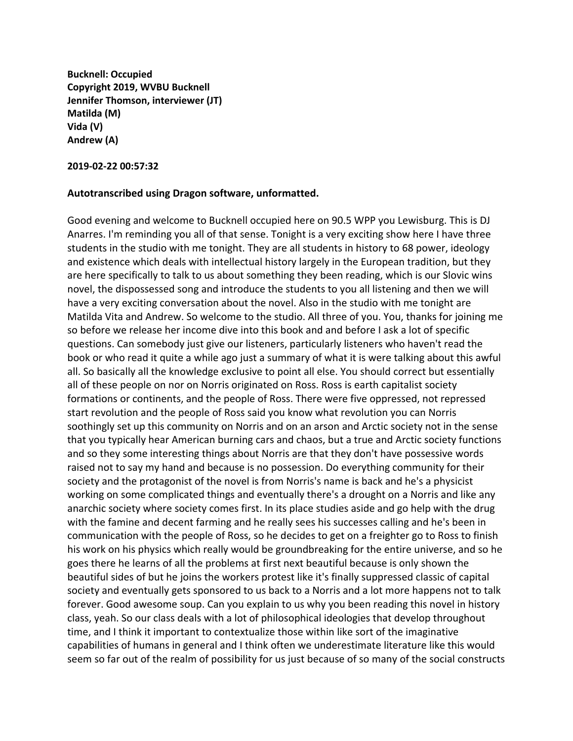**Bucknell: Occupied Copyright 2019, WVBU Bucknell Jennifer Thomson, interviewer (JT) Matilda (M) Vida (V) Andrew (A)**

**2019-02-22 00:57:32**

## **Autotranscribed using Dragon software, unformatted.**

Good evening and welcome to Bucknell occupied here on 90.5 WPP you Lewisburg. This is DJ Anarres. I'm reminding you all of that sense. Tonight is a very exciting show here I have three students in the studio with me tonight. They are all students in history to 68 power, ideology and existence which deals with intellectual history largely in the European tradition, but they are here specifically to talk to us about something they been reading, which is our Slovic wins novel, the dispossessed song and introduce the students to you all listening and then we will have a very exciting conversation about the novel. Also in the studio with me tonight are Matilda Vita and Andrew. So welcome to the studio. All three of you. You, thanks for joining me so before we release her income dive into this book and and before I ask a lot of specific questions. Can somebody just give our listeners, particularly listeners who haven't read the book or who read it quite a while ago just a summary of what it is were talking about this awful all. So basically all the knowledge exclusive to point all else. You should correct but essentially all of these people on nor on Norris originated on Ross. Ross is earth capitalist society formations or continents, and the people of Ross. There were five oppressed, not repressed start revolution and the people of Ross said you know what revolution you can Norris soothingly set up this community on Norris and on an arson and Arctic society not in the sense that you typically hear American burning cars and chaos, but a true and Arctic society functions and so they some interesting things about Norris are that they don't have possessive words raised not to say my hand and because is no possession. Do everything community for their society and the protagonist of the novel is from Norris's name is back and he's a physicist working on some complicated things and eventually there's a drought on a Norris and like any anarchic society where society comes first. In its place studies aside and go help with the drug with the famine and decent farming and he really sees his successes calling and he's been in communication with the people of Ross, so he decides to get on a freighter go to Ross to finish his work on his physics which really would be groundbreaking for the entire universe, and so he goes there he learns of all the problems at first next beautiful because is only shown the beautiful sides of but he joins the workers protest like it's finally suppressed classic of capital society and eventually gets sponsored to us back to a Norris and a lot more happens not to talk forever. Good awesome soup. Can you explain to us why you been reading this novel in history class, yeah. So our class deals with a lot of philosophical ideologies that develop throughout time, and I think it important to contextualize those within like sort of the imaginative capabilities of humans in general and I think often we underestimate literature like this would seem so far out of the realm of possibility for us just because of so many of the social constructs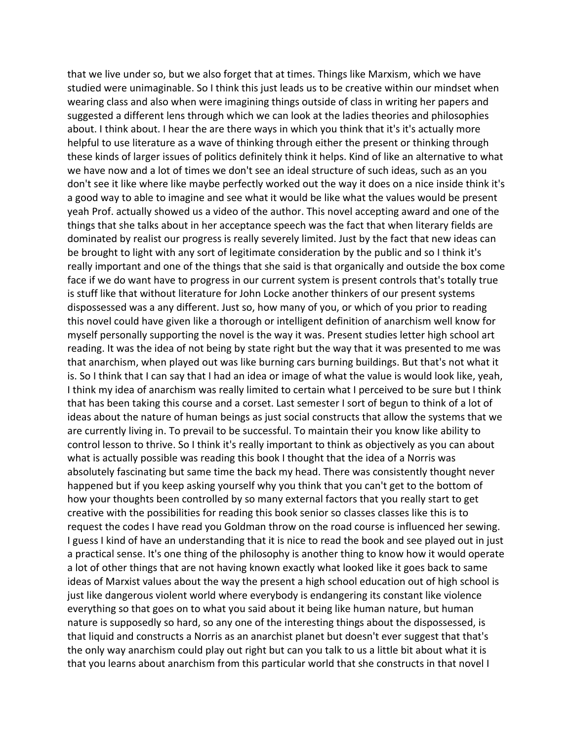that we live under so, but we also forget that at times. Things like Marxism, which we have studied were unimaginable. So I think this just leads us to be creative within our mindset when wearing class and also when were imagining things outside of class in writing her papers and suggested a different lens through which we can look at the ladies theories and philosophies about. I think about. I hear the are there ways in which you think that it's it's actually more helpful to use literature as a wave of thinking through either the present or thinking through these kinds of larger issues of politics definitely think it helps. Kind of like an alternative to what we have now and a lot of times we don't see an ideal structure of such ideas, such as an you don't see it like where like maybe perfectly worked out the way it does on a nice inside think it's a good way to able to imagine and see what it would be like what the values would be present yeah Prof. actually showed us a video of the author. This novel accepting award and one of the things that she talks about in her acceptance speech was the fact that when literary fields are dominated by realist our progress is really severely limited. Just by the fact that new ideas can be brought to light with any sort of legitimate consideration by the public and so I think it's really important and one of the things that she said is that organically and outside the box come face if we do want have to progress in our current system is present controls that's totally true is stuff like that without literature for John Locke another thinkers of our present systems dispossessed was a any different. Just so, how many of you, or which of you prior to reading this novel could have given like a thorough or intelligent definition of anarchism well know for myself personally supporting the novel is the way it was. Present studies letter high school art reading. It was the idea of not being by state right but the way that it was presented to me was that anarchism, when played out was like burning cars burning buildings. But that's not what it is. So I think that I can say that I had an idea or image of what the value is would look like, yeah, I think my idea of anarchism was really limited to certain what I perceived to be sure but I think that has been taking this course and a corset. Last semester I sort of begun to think of a lot of ideas about the nature of human beings as just social constructs that allow the systems that we are currently living in. To prevail to be successful. To maintain their you know like ability to control lesson to thrive. So I think it's really important to think as objectively as you can about what is actually possible was reading this book I thought that the idea of a Norris was absolutely fascinating but same time the back my head. There was consistently thought never happened but if you keep asking yourself why you think that you can't get to the bottom of how your thoughts been controlled by so many external factors that you really start to get creative with the possibilities for reading this book senior so classes classes like this is to request the codes I have read you Goldman throw on the road course is influenced her sewing. I guess I kind of have an understanding that it is nice to read the book and see played out in just a practical sense. It's one thing of the philosophy is another thing to know how it would operate a lot of other things that are not having known exactly what looked like it goes back to same ideas of Marxist values about the way the present a high school education out of high school is just like dangerous violent world where everybody is endangering its constant like violence everything so that goes on to what you said about it being like human nature, but human nature is supposedly so hard, so any one of the interesting things about the dispossessed, is that liquid and constructs a Norris as an anarchist planet but doesn't ever suggest that that's the only way anarchism could play out right but can you talk to us a little bit about what it is that you learns about anarchism from this particular world that she constructs in that novel I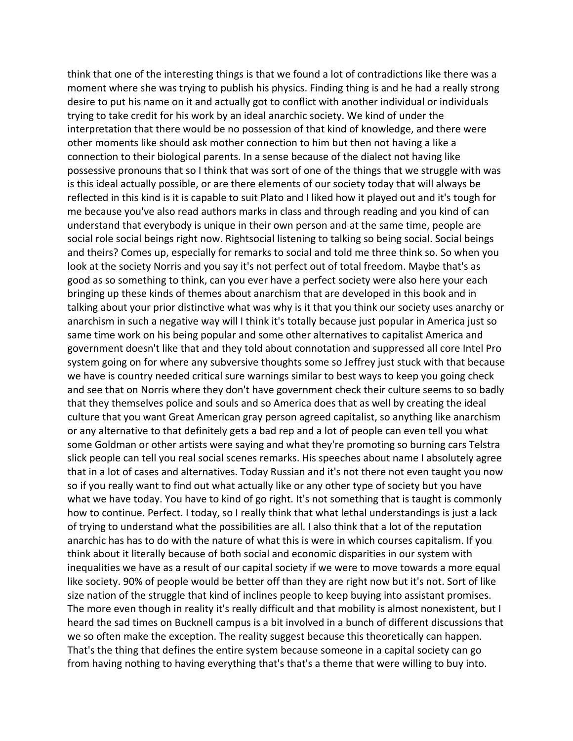think that one of the interesting things is that we found a lot of contradictions like there was a moment where she was trying to publish his physics. Finding thing is and he had a really strong desire to put his name on it and actually got to conflict with another individual or individuals trying to take credit for his work by an ideal anarchic society. We kind of under the interpretation that there would be no possession of that kind of knowledge, and there were other moments like should ask mother connection to him but then not having a like a connection to their biological parents. In a sense because of the dialect not having like possessive pronouns that so I think that was sort of one of the things that we struggle with was is this ideal actually possible, or are there elements of our society today that will always be reflected in this kind is it is capable to suit Plato and I liked how it played out and it's tough for me because you've also read authors marks in class and through reading and you kind of can understand that everybody is unique in their own person and at the same time, people are social role social beings right now. Rightsocial listening to talking so being social. Social beings and theirs? Comes up, especially for remarks to social and told me three think so. So when you look at the society Norris and you say it's not perfect out of total freedom. Maybe that's as good as so something to think, can you ever have a perfect society were also here your each bringing up these kinds of themes about anarchism that are developed in this book and in talking about your prior distinctive what was why is it that you think our society uses anarchy or anarchism in such a negative way will I think it's totally because just popular in America just so same time work on his being popular and some other alternatives to capitalist America and government doesn't like that and they told about connotation and suppressed all core Intel Pro system going on for where any subversive thoughts some so Jeffrey just stuck with that because we have is country needed critical sure warnings similar to best ways to keep you going check and see that on Norris where they don't have government check their culture seems to so badly that they themselves police and souls and so America does that as well by creating the ideal culture that you want Great American gray person agreed capitalist, so anything like anarchism or any alternative to that definitely gets a bad rep and a lot of people can even tell you what some Goldman or other artists were saying and what they're promoting so burning cars Telstra slick people can tell you real social scenes remarks. His speeches about name I absolutely agree that in a lot of cases and alternatives. Today Russian and it's not there not even taught you now so if you really want to find out what actually like or any other type of society but you have what we have today. You have to kind of go right. It's not something that is taught is commonly how to continue. Perfect. I today, so I really think that what lethal understandings is just a lack of trying to understand what the possibilities are all. I also think that a lot of the reputation anarchic has has to do with the nature of what this is were in which courses capitalism. If you think about it literally because of both social and economic disparities in our system with inequalities we have as a result of our capital society if we were to move towards a more equal like society. 90% of people would be better off than they are right now but it's not. Sort of like size nation of the struggle that kind of inclines people to keep buying into assistant promises. The more even though in reality it's really difficult and that mobility is almost nonexistent, but I heard the sad times on Bucknell campus is a bit involved in a bunch of different discussions that we so often make the exception. The reality suggest because this theoretically can happen. That's the thing that defines the entire system because someone in a capital society can go from having nothing to having everything that's that's a theme that were willing to buy into.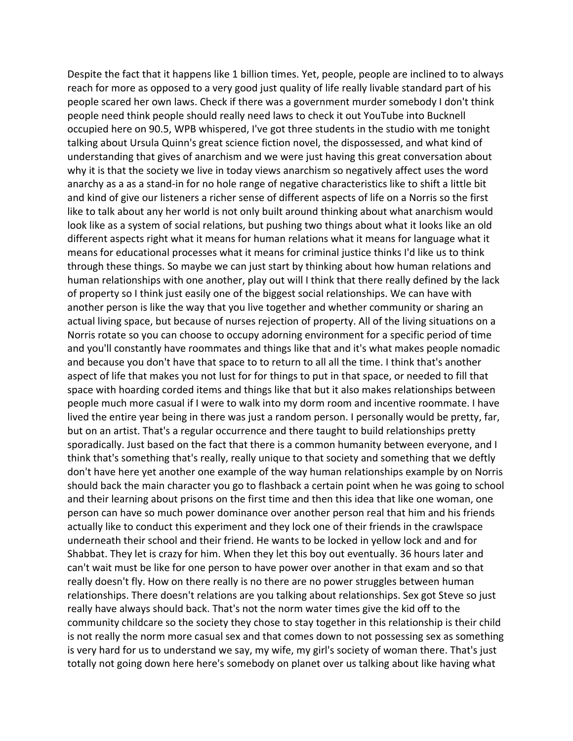Despite the fact that it happens like 1 billion times. Yet, people, people are inclined to to always reach for more as opposed to a very good just quality of life really livable standard part of his people scared her own laws. Check if there was a government murder somebody I don't think people need think people should really need laws to check it out YouTube into Bucknell occupied here on 90.5, WPB whispered, I've got three students in the studio with me tonight talking about Ursula Quinn's great science fiction novel, the dispossessed, and what kind of understanding that gives of anarchism and we were just having this great conversation about why it is that the society we live in today views anarchism so negatively affect uses the word anarchy as a as a stand-in for no hole range of negative characteristics like to shift a little bit and kind of give our listeners a richer sense of different aspects of life on a Norris so the first like to talk about any her world is not only built around thinking about what anarchism would look like as a system of social relations, but pushing two things about what it looks like an old different aspects right what it means for human relations what it means for language what it means for educational processes what it means for criminal justice thinks I'd like us to think through these things. So maybe we can just start by thinking about how human relations and human relationships with one another, play out will I think that there really defined by the lack of property so I think just easily one of the biggest social relationships. We can have with another person is like the way that you live together and whether community or sharing an actual living space, but because of nurses rejection of property. All of the living situations on a Norris rotate so you can choose to occupy adorning environment for a specific period of time and you'll constantly have roommates and things like that and it's what makes people nomadic and because you don't have that space to to return to all all the time. I think that's another aspect of life that makes you not lust for for things to put in that space, or needed to fill that space with hoarding corded items and things like that but it also makes relationships between people much more casual if I were to walk into my dorm room and incentive roommate. I have lived the entire year being in there was just a random person. I personally would be pretty, far, but on an artist. That's a regular occurrence and there taught to build relationships pretty sporadically. Just based on the fact that there is a common humanity between everyone, and I think that's something that's really, really unique to that society and something that we deftly don't have here yet another one example of the way human relationships example by on Norris should back the main character you go to flashback a certain point when he was going to school and their learning about prisons on the first time and then this idea that like one woman, one person can have so much power dominance over another person real that him and his friends actually like to conduct this experiment and they lock one of their friends in the crawlspace underneath their school and their friend. He wants to be locked in yellow lock and and for Shabbat. They let is crazy for him. When they let this boy out eventually. 36 hours later and can't wait must be like for one person to have power over another in that exam and so that really doesn't fly. How on there really is no there are no power struggles between human relationships. There doesn't relations are you talking about relationships. Sex got Steve so just really have always should back. That's not the norm water times give the kid off to the community childcare so the society they chose to stay together in this relationship is their child is not really the norm more casual sex and that comes down to not possessing sex as something is very hard for us to understand we say, my wife, my girl's society of woman there. That's just totally not going down here here's somebody on planet over us talking about like having what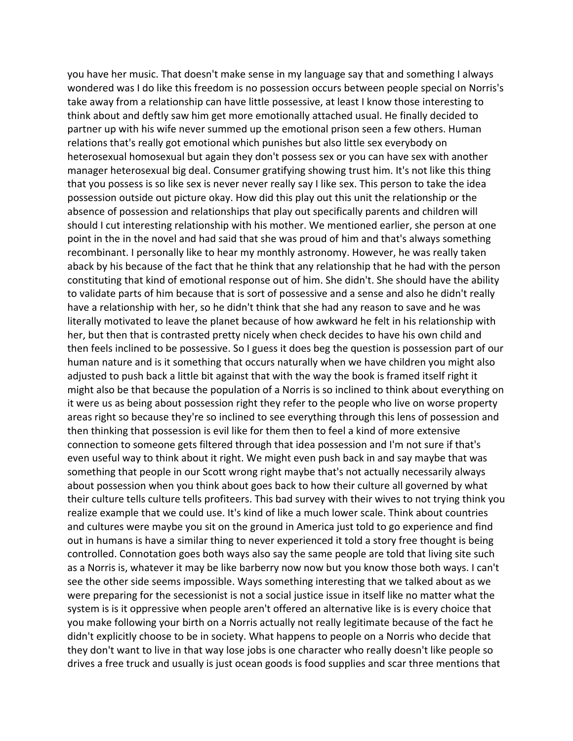you have her music. That doesn't make sense in my language say that and something I always wondered was I do like this freedom is no possession occurs between people special on Norris's take away from a relationship can have little possessive, at least I know those interesting to think about and deftly saw him get more emotionally attached usual. He finally decided to partner up with his wife never summed up the emotional prison seen a few others. Human relations that's really got emotional which punishes but also little sex everybody on heterosexual homosexual but again they don't possess sex or you can have sex with another manager heterosexual big deal. Consumer gratifying showing trust him. It's not like this thing that you possess is so like sex is never never really say I like sex. This person to take the idea possession outside out picture okay. How did this play out this unit the relationship or the absence of possession and relationships that play out specifically parents and children will should I cut interesting relationship with his mother. We mentioned earlier, she person at one point in the in the novel and had said that she was proud of him and that's always something recombinant. I personally like to hear my monthly astronomy. However, he was really taken aback by his because of the fact that he think that any relationship that he had with the person constituting that kind of emotional response out of him. She didn't. She should have the ability to validate parts of him because that is sort of possessive and a sense and also he didn't really have a relationship with her, so he didn't think that she had any reason to save and he was literally motivated to leave the planet because of how awkward he felt in his relationship with her, but then that is contrasted pretty nicely when check decides to have his own child and then feels inclined to be possessive. So I guess it does beg the question is possession part of our human nature and is it something that occurs naturally when we have children you might also adjusted to push back a little bit against that with the way the book is framed itself right it might also be that because the population of a Norris is so inclined to think about everything on it were us as being about possession right they refer to the people who live on worse property areas right so because they're so inclined to see everything through this lens of possession and then thinking that possession is evil like for them then to feel a kind of more extensive connection to someone gets filtered through that idea possession and I'm not sure if that's even useful way to think about it right. We might even push back in and say maybe that was something that people in our Scott wrong right maybe that's not actually necessarily always about possession when you think about goes back to how their culture all governed by what their culture tells culture tells profiteers. This bad survey with their wives to not trying think you realize example that we could use. It's kind of like a much lower scale. Think about countries and cultures were maybe you sit on the ground in America just told to go experience and find out in humans is have a similar thing to never experienced it told a story free thought is being controlled. Connotation goes both ways also say the same people are told that living site such as a Norris is, whatever it may be like barberry now now but you know those both ways. I can't see the other side seems impossible. Ways something interesting that we talked about as we were preparing for the secessionist is not a social justice issue in itself like no matter what the system is is it oppressive when people aren't offered an alternative like is is every choice that you make following your birth on a Norris actually not really legitimate because of the fact he didn't explicitly choose to be in society. What happens to people on a Norris who decide that they don't want to live in that way lose jobs is one character who really doesn't like people so drives a free truck and usually is just ocean goods is food supplies and scar three mentions that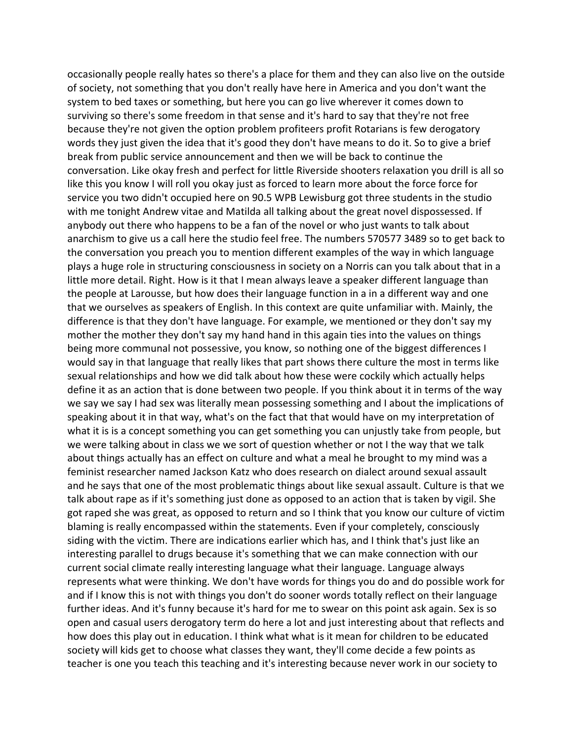occasionally people really hates so there's a place for them and they can also live on the outside of society, not something that you don't really have here in America and you don't want the system to bed taxes or something, but here you can go live wherever it comes down to surviving so there's some freedom in that sense and it's hard to say that they're not free because they're not given the option problem profiteers profit Rotarians is few derogatory words they just given the idea that it's good they don't have means to do it. So to give a brief break from public service announcement and then we will be back to continue the conversation. Like okay fresh and perfect for little Riverside shooters relaxation you drill is all so like this you know I will roll you okay just as forced to learn more about the force force for service you two didn't occupied here on 90.5 WPB Lewisburg got three students in the studio with me tonight Andrew vitae and Matilda all talking about the great novel dispossessed. If anybody out there who happens to be a fan of the novel or who just wants to talk about anarchism to give us a call here the studio feel free. The numbers 570577 3489 so to get back to the conversation you preach you to mention different examples of the way in which language plays a huge role in structuring consciousness in society on a Norris can you talk about that in a little more detail. Right. How is it that I mean always leave a speaker different language than the people at Larousse, but how does their language function in a in a different way and one that we ourselves as speakers of English. In this context are quite unfamiliar with. Mainly, the difference is that they don't have language. For example, we mentioned or they don't say my mother the mother they don't say my hand hand in this again ties into the values on things being more communal not possessive, you know, so nothing one of the biggest differences I would say in that language that really likes that part shows there culture the most in terms like sexual relationships and how we did talk about how these were cockily which actually helps define it as an action that is done between two people. If you think about it in terms of the way we say we say I had sex was literally mean possessing something and I about the implications of speaking about it in that way, what's on the fact that that would have on my interpretation of what it is is a concept something you can get something you can unjustly take from people, but we were talking about in class we we sort of question whether or not I the way that we talk about things actually has an effect on culture and what a meal he brought to my mind was a feminist researcher named Jackson Katz who does research on dialect around sexual assault and he says that one of the most problematic things about like sexual assault. Culture is that we talk about rape as if it's something just done as opposed to an action that is taken by vigil. She got raped she was great, as opposed to return and so I think that you know our culture of victim blaming is really encompassed within the statements. Even if your completely, consciously siding with the victim. There are indications earlier which has, and I think that's just like an interesting parallel to drugs because it's something that we can make connection with our current social climate really interesting language what their language. Language always represents what were thinking. We don't have words for things you do and do possible work for and if I know this is not with things you don't do sooner words totally reflect on their language further ideas. And it's funny because it's hard for me to swear on this point ask again. Sex is so open and casual users derogatory term do here a lot and just interesting about that reflects and how does this play out in education. I think what what is it mean for children to be educated society will kids get to choose what classes they want, they'll come decide a few points as teacher is one you teach this teaching and it's interesting because never work in our society to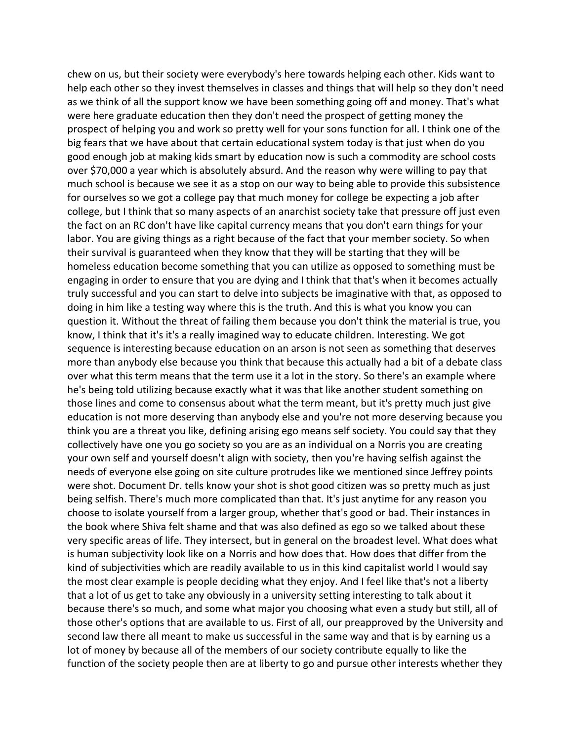chew on us, but their society were everybody's here towards helping each other. Kids want to help each other so they invest themselves in classes and things that will help so they don't need as we think of all the support know we have been something going off and money. That's what were here graduate education then they don't need the prospect of getting money the prospect of helping you and work so pretty well for your sons function for all. I think one of the big fears that we have about that certain educational system today is that just when do you good enough job at making kids smart by education now is such a commodity are school costs over \$70,000 a year which is absolutely absurd. And the reason why were willing to pay that much school is because we see it as a stop on our way to being able to provide this subsistence for ourselves so we got a college pay that much money for college be expecting a job after college, but I think that so many aspects of an anarchist society take that pressure off just even the fact on an RC don't have like capital currency means that you don't earn things for your labor. You are giving things as a right because of the fact that your member society. So when their survival is guaranteed when they know that they will be starting that they will be homeless education become something that you can utilize as opposed to something must be engaging in order to ensure that you are dying and I think that that's when it becomes actually truly successful and you can start to delve into subjects be imaginative with that, as opposed to doing in him like a testing way where this is the truth. And this is what you know you can question it. Without the threat of failing them because you don't think the material is true, you know, I think that it's it's a really imagined way to educate children. Interesting. We got sequence is interesting because education on an arson is not seen as something that deserves more than anybody else because you think that because this actually had a bit of a debate class over what this term means that the term use it a lot in the story. So there's an example where he's being told utilizing because exactly what it was that like another student something on those lines and come to consensus about what the term meant, but it's pretty much just give education is not more deserving than anybody else and you're not more deserving because you think you are a threat you like, defining arising ego means self society. You could say that they collectively have one you go society so you are as an individual on a Norris you are creating your own self and yourself doesn't align with society, then you're having selfish against the needs of everyone else going on site culture protrudes like we mentioned since Jeffrey points were shot. Document Dr. tells know your shot is shot good citizen was so pretty much as just being selfish. There's much more complicated than that. It's just anytime for any reason you choose to isolate yourself from a larger group, whether that's good or bad. Their instances in the book where Shiva felt shame and that was also defined as ego so we talked about these very specific areas of life. They intersect, but in general on the broadest level. What does what is human subjectivity look like on a Norris and how does that. How does that differ from the kind of subjectivities which are readily available to us in this kind capitalist world I would say the most clear example is people deciding what they enjoy. And I feel like that's not a liberty that a lot of us get to take any obviously in a university setting interesting to talk about it because there's so much, and some what major you choosing what even a study but still, all of those other's options that are available to us. First of all, our preapproved by the University and second law there all meant to make us successful in the same way and that is by earning us a lot of money by because all of the members of our society contribute equally to like the function of the society people then are at liberty to go and pursue other interests whether they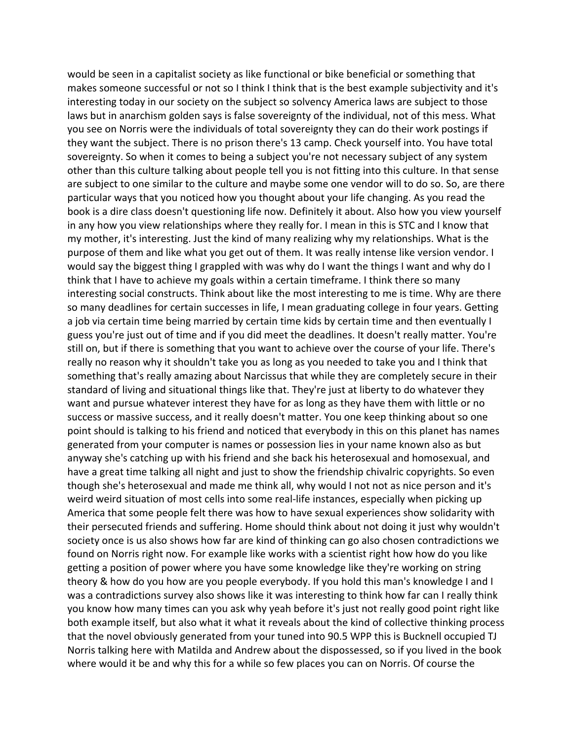would be seen in a capitalist society as like functional or bike beneficial or something that makes someone successful or not so I think I think that is the best example subjectivity and it's interesting today in our society on the subject so solvency America laws are subject to those laws but in anarchism golden says is false sovereignty of the individual, not of this mess. What you see on Norris were the individuals of total sovereignty they can do their work postings if they want the subject. There is no prison there's 13 camp. Check yourself into. You have total sovereignty. So when it comes to being a subject you're not necessary subject of any system other than this culture talking about people tell you is not fitting into this culture. In that sense are subject to one similar to the culture and maybe some one vendor will to do so. So, are there particular ways that you noticed how you thought about your life changing. As you read the book is a dire class doesn't questioning life now. Definitely it about. Also how you view yourself in any how you view relationships where they really for. I mean in this is STC and I know that my mother, it's interesting. Just the kind of many realizing why my relationships. What is the purpose of them and like what you get out of them. It was really intense like version vendor. I would say the biggest thing I grappled with was why do I want the things I want and why do I think that I have to achieve my goals within a certain timeframe. I think there so many interesting social constructs. Think about like the most interesting to me is time. Why are there so many deadlines for certain successes in life, I mean graduating college in four years. Getting a job via certain time being married by certain time kids by certain time and then eventually I guess you're just out of time and if you did meet the deadlines. It doesn't really matter. You're still on, but if there is something that you want to achieve over the course of your life. There's really no reason why it shouldn't take you as long as you needed to take you and I think that something that's really amazing about Narcissus that while they are completely secure in their standard of living and situational things like that. They're just at liberty to do whatever they want and pursue whatever interest they have for as long as they have them with little or no success or massive success, and it really doesn't matter. You one keep thinking about so one point should is talking to his friend and noticed that everybody in this on this planet has names generated from your computer is names or possession lies in your name known also as but anyway she's catching up with his friend and she back his heterosexual and homosexual, and have a great time talking all night and just to show the friendship chivalric copyrights. So even though she's heterosexual and made me think all, why would I not not as nice person and it's weird weird situation of most cells into some real-life instances, especially when picking up America that some people felt there was how to have sexual experiences show solidarity with their persecuted friends and suffering. Home should think about not doing it just why wouldn't society once is us also shows how far are kind of thinking can go also chosen contradictions we found on Norris right now. For example like works with a scientist right how how do you like getting a position of power where you have some knowledge like they're working on string theory & how do you how are you people everybody. If you hold this man's knowledge I and I was a contradictions survey also shows like it was interesting to think how far can I really think you know how many times can you ask why yeah before it's just not really good point right like both example itself, but also what it what it reveals about the kind of collective thinking process that the novel obviously generated from your tuned into 90.5 WPP this is Bucknell occupied TJ Norris talking here with Matilda and Andrew about the dispossessed, so if you lived in the book where would it be and why this for a while so few places you can on Norris. Of course the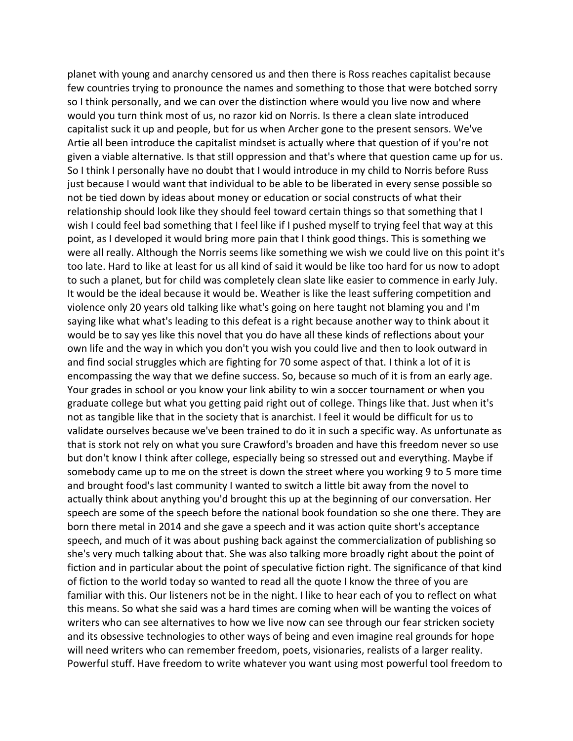planet with young and anarchy censored us and then there is Ross reaches capitalist because few countries trying to pronounce the names and something to those that were botched sorry so I think personally, and we can over the distinction where would you live now and where would you turn think most of us, no razor kid on Norris. Is there a clean slate introduced capitalist suck it up and people, but for us when Archer gone to the present sensors. We've Artie all been introduce the capitalist mindset is actually where that question of if you're not given a viable alternative. Is that still oppression and that's where that question came up for us. So I think I personally have no doubt that I would introduce in my child to Norris before Russ just because I would want that individual to be able to be liberated in every sense possible so not be tied down by ideas about money or education or social constructs of what their relationship should look like they should feel toward certain things so that something that I wish I could feel bad something that I feel like if I pushed myself to trying feel that way at this point, as I developed it would bring more pain that I think good things. This is something we were all really. Although the Norris seems like something we wish we could live on this point it's too late. Hard to like at least for us all kind of said it would be like too hard for us now to adopt to such a planet, but for child was completely clean slate like easier to commence in early July. It would be the ideal because it would be. Weather is like the least suffering competition and violence only 20 years old talking like what's going on here taught not blaming you and I'm saying like what what's leading to this defeat is a right because another way to think about it would be to say yes like this novel that you do have all these kinds of reflections about your own life and the way in which you don't you wish you could live and then to look outward in and find social struggles which are fighting for 70 some aspect of that. I think a lot of it is encompassing the way that we define success. So, because so much of it is from an early age. Your grades in school or you know your link ability to win a soccer tournament or when you graduate college but what you getting paid right out of college. Things like that. Just when it's not as tangible like that in the society that is anarchist. I feel it would be difficult for us to validate ourselves because we've been trained to do it in such a specific way. As unfortunate as that is stork not rely on what you sure Crawford's broaden and have this freedom never so use but don't know I think after college, especially being so stressed out and everything. Maybe if somebody came up to me on the street is down the street where you working 9 to 5 more time and brought food's last community I wanted to switch a little bit away from the novel to actually think about anything you'd brought this up at the beginning of our conversation. Her speech are some of the speech before the national book foundation so she one there. They are born there metal in 2014 and she gave a speech and it was action quite short's acceptance speech, and much of it was about pushing back against the commercialization of publishing so she's very much talking about that. She was also talking more broadly right about the point of fiction and in particular about the point of speculative fiction right. The significance of that kind of fiction to the world today so wanted to read all the quote I know the three of you are familiar with this. Our listeners not be in the night. I like to hear each of you to reflect on what this means. So what she said was a hard times are coming when will be wanting the voices of writers who can see alternatives to how we live now can see through our fear stricken society and its obsessive technologies to other ways of being and even imagine real grounds for hope will need writers who can remember freedom, poets, visionaries, realists of a larger reality. Powerful stuff. Have freedom to write whatever you want using most powerful tool freedom to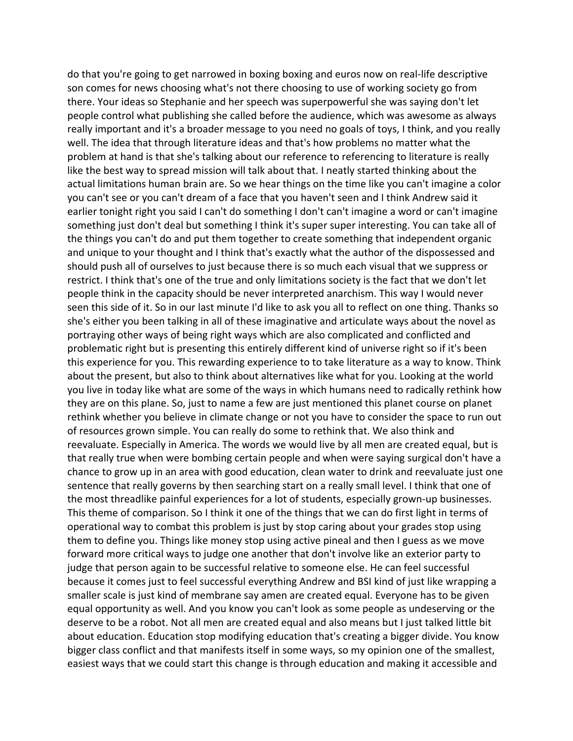do that you're going to get narrowed in boxing boxing and euros now on real-life descriptive son comes for news choosing what's not there choosing to use of working society go from there. Your ideas so Stephanie and her speech was superpowerful she was saying don't let people control what publishing she called before the audience, which was awesome as always really important and it's a broader message to you need no goals of toys, I think, and you really well. The idea that through literature ideas and that's how problems no matter what the problem at hand is that she's talking about our reference to referencing to literature is really like the best way to spread mission will talk about that. I neatly started thinking about the actual limitations human brain are. So we hear things on the time like you can't imagine a color you can't see or you can't dream of a face that you haven't seen and I think Andrew said it earlier tonight right you said I can't do something I don't can't imagine a word or can't imagine something just don't deal but something I think it's super super interesting. You can take all of the things you can't do and put them together to create something that independent organic and unique to your thought and I think that's exactly what the author of the dispossessed and should push all of ourselves to just because there is so much each visual that we suppress or restrict. I think that's one of the true and only limitations society is the fact that we don't let people think in the capacity should be never interpreted anarchism. This way I would never seen this side of it. So in our last minute I'd like to ask you all to reflect on one thing. Thanks so she's either you been talking in all of these imaginative and articulate ways about the novel as portraying other ways of being right ways which are also complicated and conflicted and problematic right but is presenting this entirely different kind of universe right so if it's been this experience for you. This rewarding experience to to take literature as a way to know. Think about the present, but also to think about alternatives like what for you. Looking at the world you live in today like what are some of the ways in which humans need to radically rethink how they are on this plane. So, just to name a few are just mentioned this planet course on planet rethink whether you believe in climate change or not you have to consider the space to run out of resources grown simple. You can really do some to rethink that. We also think and reevaluate. Especially in America. The words we would live by all men are created equal, but is that really true when were bombing certain people and when were saying surgical don't have a chance to grow up in an area with good education, clean water to drink and reevaluate just one sentence that really governs by then searching start on a really small level. I think that one of the most threadlike painful experiences for a lot of students, especially grown-up businesses. This theme of comparison. So I think it one of the things that we can do first light in terms of operational way to combat this problem is just by stop caring about your grades stop using them to define you. Things like money stop using active pineal and then I guess as we move forward more critical ways to judge one another that don't involve like an exterior party to judge that person again to be successful relative to someone else. He can feel successful because it comes just to feel successful everything Andrew and BSI kind of just like wrapping a smaller scale is just kind of membrane say amen are created equal. Everyone has to be given equal opportunity as well. And you know you can't look as some people as undeserving or the deserve to be a robot. Not all men are created equal and also means but I just talked little bit about education. Education stop modifying education that's creating a bigger divide. You know bigger class conflict and that manifests itself in some ways, so my opinion one of the smallest, easiest ways that we could start this change is through education and making it accessible and